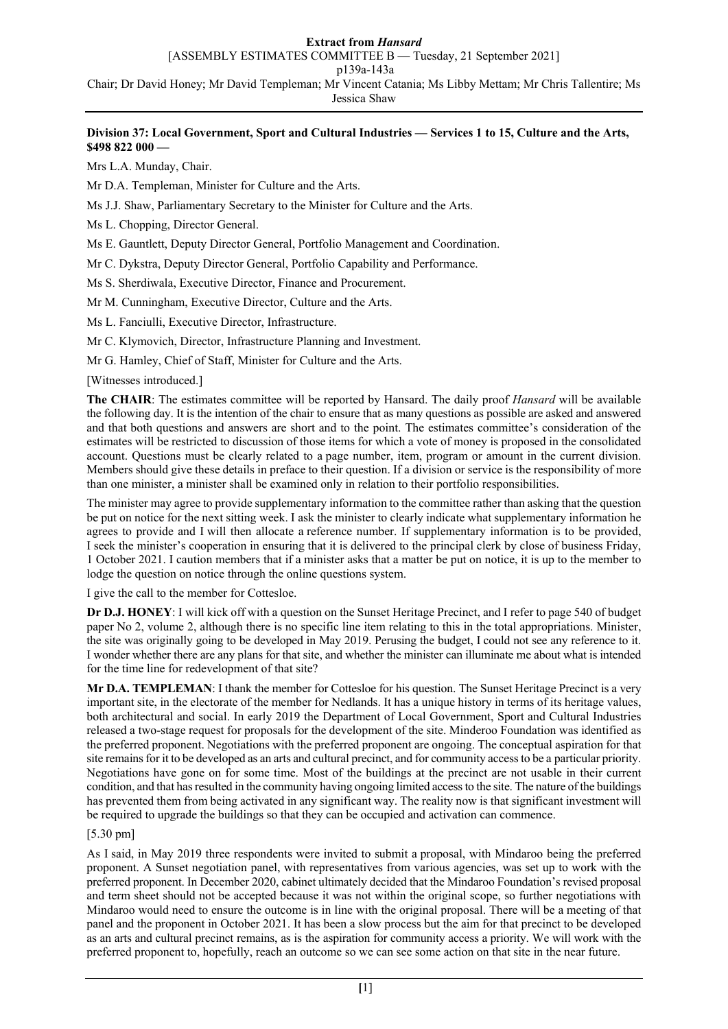### **Extract from** *Hansard*

[ASSEMBLY ESTIMATES COMMITTEE B — Tuesday, 21 September 2021]

p139a-143a

Chair; Dr David Honey; Mr David Templeman; Mr Vincent Catania; Ms Libby Mettam; Mr Chris Tallentire; Ms

Jessica Shaw

## **Division 37: Local Government, Sport and Cultural Industries — Services 1 to 15, Culture and the Arts, \$498 822 000 —**

Mrs L.A. Munday, Chair.

Mr D.A. Templeman, Minister for Culture and the Arts.

Ms J.J. Shaw, Parliamentary Secretary to the Minister for Culture and the Arts.

Ms L. Chopping, Director General.

Ms E. Gauntlett, Deputy Director General, Portfolio Management and Coordination.

Mr C. Dykstra, Deputy Director General, Portfolio Capability and Performance.

Ms S. Sherdiwala, Executive Director, Finance and Procurement.

Mr M. Cunningham, Executive Director, Culture and the Arts.

Ms L. Fanciulli, Executive Director, Infrastructure.

Mr C. Klymovich, Director, Infrastructure Planning and Investment.

Mr G. Hamley, Chief of Staff, Minister for Culture and the Arts.

[Witnesses introduced.]

**The CHAIR**: The estimates committee will be reported by Hansard. The daily proof *Hansard* will be available the following day. It is the intention of the chair to ensure that as many questions as possible are asked and answered and that both questions and answers are short and to the point. The estimates committee's consideration of the estimates will be restricted to discussion of those items for which a vote of money is proposed in the consolidated account. Questions must be clearly related to a page number, item, program or amount in the current division. Members should give these details in preface to their question. If a division or service is the responsibility of more than one minister, a minister shall be examined only in relation to their portfolio responsibilities.

The minister may agree to provide supplementary information to the committee rather than asking that the question be put on notice for the next sitting week. I ask the minister to clearly indicate what supplementary information he agrees to provide and I will then allocate a reference number. If supplementary information is to be provided, I seek the minister's cooperation in ensuring that it is delivered to the principal clerk by close of business Friday, 1 October 2021. I caution members that if a minister asks that a matter be put on notice, it is up to the member to lodge the question on notice through the online questions system.

I give the call to the member for Cottesloe.

**Dr D.J. HONEY**: I will kick off with a question on the Sunset Heritage Precinct, and I refer to page 540 of budget paper No 2, volume 2, although there is no specific line item relating to this in the total appropriations. Minister, the site was originally going to be developed in May 2019. Perusing the budget, I could not see any reference to it. I wonder whether there are any plans for that site, and whether the minister can illuminate me about what is intended for the time line for redevelopment of that site?

**Mr D.A. TEMPLEMAN**: I thank the member for Cottesloe for his question. The Sunset Heritage Precinct is a very important site, in the electorate of the member for Nedlands. It has a unique history in terms of its heritage values, both architectural and social. In early 2019 the Department of Local Government, Sport and Cultural Industries released a two-stage request for proposals for the development of the site. Minderoo Foundation was identified as the preferred proponent. Negotiations with the preferred proponent are ongoing. The conceptual aspiration for that site remains for it to be developed as an arts and cultural precinct, and for community access to be a particular priority. Negotiations have gone on for some time. Most of the buildings at the precinct are not usable in their current condition, and that has resulted in the community having ongoing limited access to the site. The nature of the buildings has prevented them from being activated in any significant way. The reality now is that significant investment will be required to upgrade the buildings so that they can be occupied and activation can commence.

# [5.30 pm]

As I said, in May 2019 three respondents were invited to submit a proposal, with Mindaroo being the preferred proponent. A Sunset negotiation panel, with representatives from various agencies, was set up to work with the preferred proponent. In December 2020, cabinet ultimately decided that the Mindaroo Foundation's revised proposal and term sheet should not be accepted because it was not within the original scope, so further negotiations with Mindaroo would need to ensure the outcome is in line with the original proposal. There will be a meeting of that panel and the proponent in October 2021. It has been a slow process but the aim for that precinct to be developed as an arts and cultural precinct remains, as is the aspiration for community access a priority. We will work with the preferred proponent to, hopefully, reach an outcome so we can see some action on that site in the near future.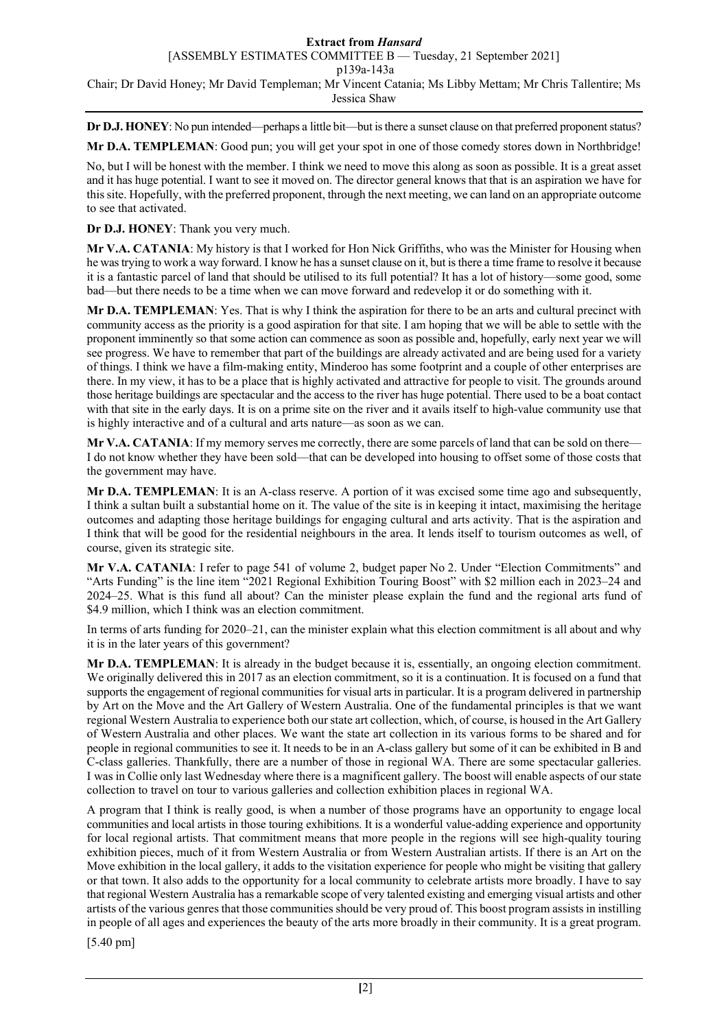#### **Extract from** *Hansard* [ASSEMBLY ESTIMATES COMMITTEE B — Tuesday, 21 September 2021] p139a-143a Chair; Dr David Honey; Mr David Templeman; Mr Vincent Catania; Ms Libby Mettam; Mr Chris Tallentire; Ms Jessica Shaw

**Dr D.J. HONEY**: No pun intended—perhaps a little bit—but is there a sunset clause on that preferred proponent status? **Mr D.A. TEMPLEMAN**: Good pun; you will get your spot in one of those comedy stores down in Northbridge!

No, but I will be honest with the member. I think we need to move this along as soon as possible. It is a great asset and it has huge potential. I want to see it moved on. The director general knows that that is an aspiration we have for this site. Hopefully, with the preferred proponent, through the next meeting, we can land on an appropriate outcome to see that activated.

**Dr D.J. HONEY**: Thank you very much.

**Mr V.A. CATANIA**: My history is that I worked for Hon Nick Griffiths, who was the Minister for Housing when he was trying to work a way forward. I know he has a sunset clause on it, but is there a time frame to resolve it because it is a fantastic parcel of land that should be utilised to its full potential? It has a lot of history—some good, some bad—but there needs to be a time when we can move forward and redevelop it or do something with it.

**Mr D.A. TEMPLEMAN**: Yes. That is why I think the aspiration for there to be an arts and cultural precinct with community access as the priority is a good aspiration for that site. I am hoping that we will be able to settle with the proponent imminently so that some action can commence as soon as possible and, hopefully, early next year we will see progress. We have to remember that part of the buildings are already activated and are being used for a variety of things. I think we have a film-making entity, Minderoo has some footprint and a couple of other enterprises are there. In my view, it has to be a place that is highly activated and attractive for people to visit. The grounds around those heritage buildings are spectacular and the access to the river has huge potential. There used to be a boat contact with that site in the early days. It is on a prime site on the river and it avails itself to high-value community use that is highly interactive and of a cultural and arts nature—as soon as we can.

**Mr V.A. CATANIA**: If my memory serves me correctly, there are some parcels of land that can be sold on there— I do not know whether they have been sold—that can be developed into housing to offset some of those costs that the government may have.

**Mr D.A. TEMPLEMAN**: It is an A-class reserve. A portion of it was excised some time ago and subsequently, I think a sultan built a substantial home on it. The value of the site is in keeping it intact, maximising the heritage outcomes and adapting those heritage buildings for engaging cultural and arts activity. That is the aspiration and I think that will be good for the residential neighbours in the area. It lends itself to tourism outcomes as well, of course, given its strategic site.

**Mr V.A. CATANIA**: I refer to page 541 of volume 2, budget paper No 2. Under "Election Commitments" and "Arts Funding" is the line item "2021 Regional Exhibition Touring Boost" with \$2 million each in 2023–24 and 2024–25. What is this fund all about? Can the minister please explain the fund and the regional arts fund of \$4.9 million, which I think was an election commitment.

In terms of arts funding for 2020–21, can the minister explain what this election commitment is all about and why it is in the later years of this government?

**Mr D.A. TEMPLEMAN**: It is already in the budget because it is, essentially, an ongoing election commitment. We originally delivered this in 2017 as an election commitment, so it is a continuation. It is focused on a fund that supports the engagement of regional communities for visual arts in particular. It is a program delivered in partnership by Art on the Move and the Art Gallery of Western Australia. One of the fundamental principles is that we want regional Western Australia to experience both our state art collection, which, of course, is housed in the Art Gallery of Western Australia and other places. We want the state art collection in its various forms to be shared and for people in regional communities to see it. It needs to be in an A-class gallery but some of it can be exhibited in B and C-class galleries. Thankfully, there are a number of those in regional WA. There are some spectacular galleries. I was in Collie only last Wednesday where there is a magnificent gallery. The boost will enable aspects of our state collection to travel on tour to various galleries and collection exhibition places in regional WA.

A program that I think is really good, is when a number of those programs have an opportunity to engage local communities and local artists in those touring exhibitions. It is a wonderful value-adding experience and opportunity for local regional artists. That commitment means that more people in the regions will see high-quality touring exhibition pieces, much of it from Western Australia or from Western Australian artists. If there is an Art on the Move exhibition in the local gallery, it adds to the visitation experience for people who might be visiting that gallery or that town. It also adds to the opportunity for a local community to celebrate artists more broadly. I have to say that regional Western Australia has a remarkable scope of very talented existing and emerging visual artists and other artists of the various genres that those communities should be very proud of. This boost program assists in instilling in people of all ages and experiences the beauty of the arts more broadly in their community. It is a great program.

[5.40 pm]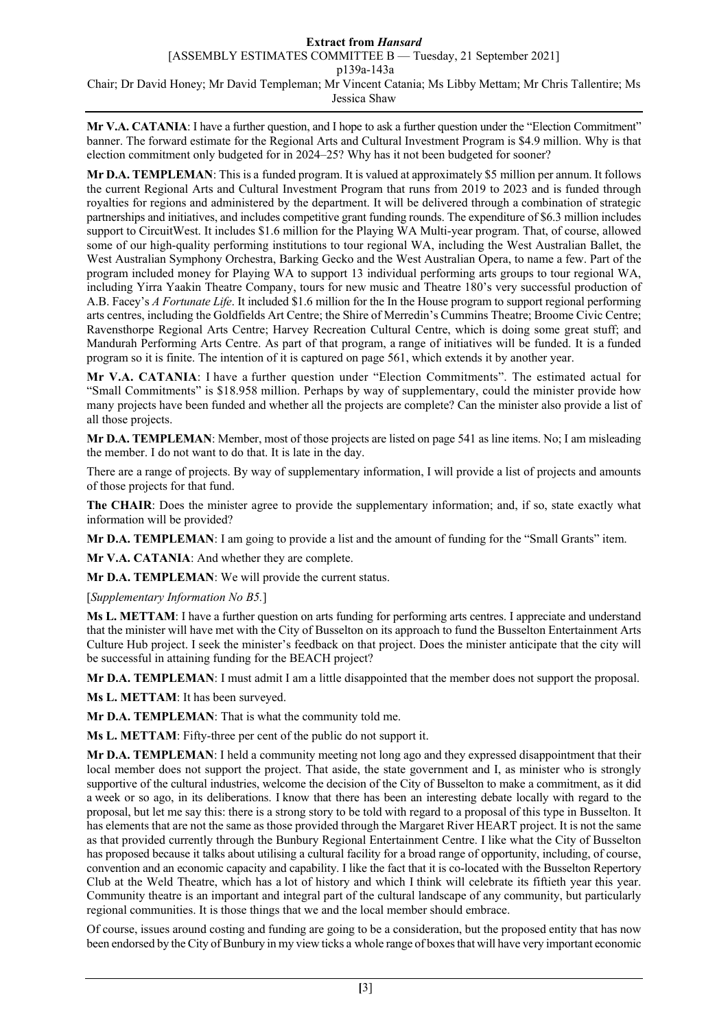## **Extract from** *Hansard*

[ASSEMBLY ESTIMATES COMMITTEE B — Tuesday, 21 September 2021]

p139a-143a

Chair; Dr David Honey; Mr David Templeman; Mr Vincent Catania; Ms Libby Mettam; Mr Chris Tallentire; Ms Jessica Shaw

**Mr V.A. CATANIA**: I have a further question, and I hope to ask a further question under the "Election Commitment" banner. The forward estimate for the Regional Arts and Cultural Investment Program is \$4.9 million. Why is that election commitment only budgeted for in 2024–25? Why has it not been budgeted for sooner?

**Mr D.A. TEMPLEMAN**: This is a funded program. It is valued at approximately \$5 million per annum. It follows the current Regional Arts and Cultural Investment Program that runs from 2019 to 2023 and is funded through royalties for regions and administered by the department. It will be delivered through a combination of strategic partnerships and initiatives, and includes competitive grant funding rounds. The expenditure of \$6.3 million includes support to CircuitWest. It includes \$1.6 million for the Playing WA Multi-year program. That, of course, allowed some of our high-quality performing institutions to tour regional WA, including the West Australian Ballet, the West Australian Symphony Orchestra, Barking Gecko and the West Australian Opera, to name a few. Part of the program included money for Playing WA to support 13 individual performing arts groups to tour regional WA, including Yirra Yaakin Theatre Company, tours for new music and Theatre 180's very successful production of A.B. Facey's *A Fortunate Life*. It included \$1.6 million for the In the House program to support regional performing arts centres, including the Goldfields Art Centre; the Shire of Merredin's Cummins Theatre; Broome Civic Centre; Ravensthorpe Regional Arts Centre; Harvey Recreation Cultural Centre, which is doing some great stuff; and Mandurah Performing Arts Centre. As part of that program, a range of initiatives will be funded. It is a funded program so it is finite. The intention of it is captured on page 561, which extends it by another year.

**Mr V.A. CATANIA**: I have a further question under "Election Commitments". The estimated actual for "Small Commitments" is \$18.958 million. Perhaps by way of supplementary, could the minister provide how many projects have been funded and whether all the projects are complete? Can the minister also provide a list of all those projects.

**Mr D.A. TEMPLEMAN**: Member, most of those projects are listed on page 541 as line items. No; I am misleading the member. I do not want to do that. It is late in the day.

There are a range of projects. By way of supplementary information, I will provide a list of projects and amounts of those projects for that fund.

**The CHAIR**: Does the minister agree to provide the supplementary information; and, if so, state exactly what information will be provided?

**Mr D.A. TEMPLEMAN**: I am going to provide a list and the amount of funding for the "Small Grants" item.

**Mr V.A. CATANIA**: And whether they are complete.

**Mr D.A. TEMPLEMAN**: We will provide the current status.

[*Supplementary Information No B5.*]

**Ms L. METTAM**: I have a further question on arts funding for performing arts centres. I appreciate and understand that the minister will have met with the City of Busselton on its approach to fund the Busselton Entertainment Arts Culture Hub project. I seek the minister's feedback on that project. Does the minister anticipate that the city will be successful in attaining funding for the BEACH project?

**Mr D.A. TEMPLEMAN**: I must admit I am a little disappointed that the member does not support the proposal.

**Ms L. METTAM**: It has been surveyed.

**Mr D.A. TEMPLEMAN**: That is what the community told me.

**Ms L. METTAM**: Fifty-three per cent of the public do not support it.

**Mr D.A. TEMPLEMAN**: I held a community meeting not long ago and they expressed disappointment that their local member does not support the project. That aside, the state government and I, as minister who is strongly supportive of the cultural industries, welcome the decision of the City of Busselton to make a commitment, as it did a week or so ago, in its deliberations. I know that there has been an interesting debate locally with regard to the proposal, but let me say this: there is a strong story to be told with regard to a proposal of this type in Busselton. It has elements that are not the same as those provided through the Margaret River HEART project. It is not the same as that provided currently through the Bunbury Regional Entertainment Centre. I like what the City of Busselton has proposed because it talks about utilising a cultural facility for a broad range of opportunity, including, of course, convention and an economic capacity and capability. I like the fact that it is co-located with the Busselton Repertory Club at the Weld Theatre, which has a lot of history and which I think will celebrate its fiftieth year this year. Community theatre is an important and integral part of the cultural landscape of any community, but particularly regional communities. It is those things that we and the local member should embrace.

Of course, issues around costing and funding are going to be a consideration, but the proposed entity that has now been endorsed by the City of Bunbury in my view ticks a whole range of boxes that will have very important economic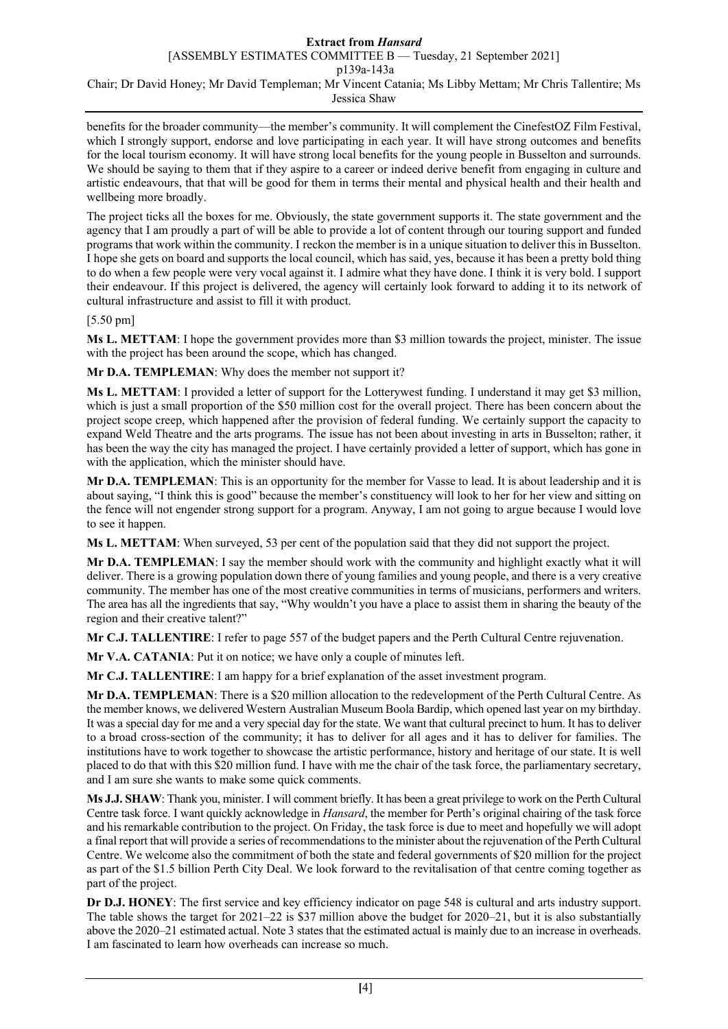#### **Extract from** *Hansard* [ASSEMBLY ESTIMATES COMMITTEE B — Tuesday, 21 September 2021] p139a-143a Chair; Dr David Honey; Mr David Templeman; Mr Vincent Catania; Ms Libby Mettam; Mr Chris Tallentire; Ms Jessica Shaw

benefits for the broader community—the member's community. It will complement the CinefestOZ Film Festival, which I strongly support, endorse and love participating in each year. It will have strong outcomes and benefits for the local tourism economy. It will have strong local benefits for the young people in Busselton and surrounds. We should be saying to them that if they aspire to a career or indeed derive benefit from engaging in culture and artistic endeavours, that that will be good for them in terms their mental and physical health and their health and wellbeing more broadly.

The project ticks all the boxes for me. Obviously, the state government supports it. The state government and the agency that I am proudly a part of will be able to provide a lot of content through our touring support and funded programs that work within the community. I reckon the member is in a unique situation to deliver this in Busselton. I hope she gets on board and supports the local council, which has said, yes, because it has been a pretty bold thing to do when a few people were very vocal against it. I admire what they have done. I think it is very bold. I support their endeavour. If this project is delivered, the agency will certainly look forward to adding it to its network of cultural infrastructure and assist to fill it with product.

[5.50 pm]

**Ms L. METTAM**: I hope the government provides more than \$3 million towards the project, minister. The issue with the project has been around the scope, which has changed.

**Mr D.A. TEMPLEMAN**: Why does the member not support it?

**Ms L. METTAM**: I provided a letter of support for the Lotterywest funding. I understand it may get \$3 million, which is just a small proportion of the \$50 million cost for the overall project. There has been concern about the project scope creep, which happened after the provision of federal funding. We certainly support the capacity to expand Weld Theatre and the arts programs. The issue has not been about investing in arts in Busselton; rather, it has been the way the city has managed the project. I have certainly provided a letter of support, which has gone in with the application, which the minister should have.

**Mr D.A. TEMPLEMAN**: This is an opportunity for the member for Vasse to lead. It is about leadership and it is about saying, "I think this is good" because the member's constituency will look to her for her view and sitting on the fence will not engender strong support for a program. Anyway, I am not going to argue because I would love to see it happen.

**Ms L. METTAM**: When surveyed, 53 per cent of the population said that they did not support the project.

**Mr D.A. TEMPLEMAN**: I say the member should work with the community and highlight exactly what it will deliver. There is a growing population down there of young families and young people, and there is a very creative community. The member has one of the most creative communities in terms of musicians, performers and writers. The area has all the ingredients that say, "Why wouldn't you have a place to assist them in sharing the beauty of the region and their creative talent?"

**Mr C.J. TALLENTIRE**: I refer to page 557 of the budget papers and the Perth Cultural Centre rejuvenation.

**Mr V.A. CATANIA**: Put it on notice; we have only a couple of minutes left.

**Mr C.J. TALLENTIRE**: I am happy for a brief explanation of the asset investment program.

**Mr D.A. TEMPLEMAN**: There is a \$20 million allocation to the redevelopment of the Perth Cultural Centre. As the member knows, we delivered Western Australian Museum Boola Bardip, which opened last year on my birthday. It was a special day for me and a very special day for the state. We want that cultural precinct to hum. It has to deliver to a broad cross-section of the community; it has to deliver for all ages and it has to deliver for families. The institutions have to work together to showcase the artistic performance, history and heritage of our state. It is well placed to do that with this \$20 million fund. I have with me the chair of the task force, the parliamentary secretary, and I am sure she wants to make some quick comments.

**Ms J.J. SHAW**: Thank you, minister. I will comment briefly. It has been a great privilege to work on the Perth Cultural Centre task force. I want quickly acknowledge in *Hansard*, the member for Perth's original chairing of the task force and his remarkable contribution to the project. On Friday, the task force is due to meet and hopefully we will adopt a final report that will provide a series of recommendations to the minister about the rejuvenation of the Perth Cultural Centre. We welcome also the commitment of both the state and federal governments of \$20 million for the project as part of the \$1.5 billion Perth City Deal. We look forward to the revitalisation of that centre coming together as part of the project.

**Dr D.J. HONEY**: The first service and key efficiency indicator on page 548 is cultural and arts industry support. The table shows the target for 2021–22 is \$37 million above the budget for 2020–21, but it is also substantially above the 2020–21 estimated actual. Note 3 states that the estimated actual is mainly due to an increase in overheads. I am fascinated to learn how overheads can increase so much.